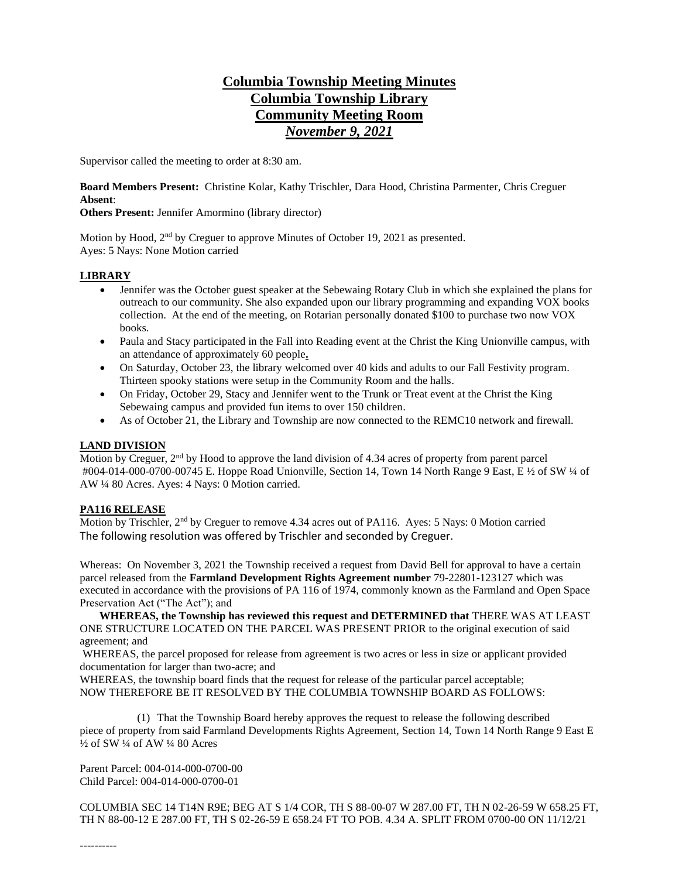# **Columbia Township Meeting Minutes Columbia Township Library Community Meeting Room** *November 9, 2021*

Supervisor called the meeting to order at 8:30 am.

**Board Members Present:** Christine Kolar, Kathy Trischler, Dara Hood, Christina Parmenter, Chris Creguer **Absent**:

## **Others Present:** Jennifer Amormino (library director)

Motion by Hood, 2<sup>nd</sup> by Creguer to approve Minutes of October 19, 2021 as presented. Ayes: 5 Nays: None Motion carried

## **LIBRARY**

- Jennifer was the October guest speaker at the Sebewaing Rotary Club in which she explained the plans for outreach to our community. She also expanded upon our library programming and expanding VOX books collection. At the end of the meeting, on Rotarian personally donated \$100 to purchase two now VOX books.
- Paula and Stacy participated in the Fall into Reading event at the Christ the King Unionville campus, with an attendance of approximately 60 people**.**
- On Saturday, October 23, the library welcomed over 40 kids and adults to our Fall Festivity program. Thirteen spooky stations were setup in the Community Room and the halls.
- On Friday, October 29, Stacy and Jennifer went to the Trunk or Treat event at the Christ the King Sebewaing campus and provided fun items to over 150 children.
- As of October 21, the Library and Township are now connected to the REMC10 network and firewall.

# **LAND DIVISION**

Motion by Creguer, 2<sup>nd</sup> by Hood to approve the land division of 4.34 acres of property from parent parcel #004-014-000-0700-00745 E. Hoppe Road Unionville, Section 14, Town 14 North Range 9 East, E ½ of SW ¼ of AW ¼ 80 Acres. Ayes: 4 Nays: 0 Motion carried.

#### **PA116 RELEASE**

Motion by Trischler, 2nd by Creguer to remove 4.34 acres out of PA116. Ayes: 5 Nays: 0 Motion carried The following resolution was offered by Trischler and seconded by Creguer.

Whereas: On November 3, 2021 the Township received a request from David Bell for approval to have a certain parcel released from the **Farmland Development Rights Agreement number** 79-22801-123127 which was executed in accordance with the provisions of PA 116 of 1974, commonly known as the Farmland and Open Space Preservation Act ("The Act"); and

 **WHEREAS, the Township has reviewed this request and DETERMINED that** THERE WAS AT LEAST ONE STRUCTURE LOCATED ON THE PARCEL WAS PRESENT PRIOR to the original execution of said agreement; and

WHEREAS, the parcel proposed for release from agreement is two acres or less in size or applicant provided documentation for larger than two-acre; and

WHEREAS, the township board finds that the request for release of the particular parcel acceptable; NOW THEREFORE BE IT RESOLVED BY THE COLUMBIA TOWNSHIP BOARD AS FOLLOWS:

(1) That the Township Board hereby approves the request to release the following described piece of property from said Farmland Developments Rights Agreement, Section 14, Town 14 North Range 9 East E  $\frac{1}{2}$  of SW  $\frac{1}{4}$  of AW  $\frac{1}{4}$  80 Acres

Parent Parcel: 004-014-000-0700-00 Child Parcel: 004-014-000-0700-01

COLUMBIA SEC 14 T14N R9E; BEG AT S 1/4 COR, TH S 88-00-07 W 287.00 FT, TH N 02-26-59 W 658.25 FT, TH N 88-00-12 E 287.00 FT, TH S 02-26-59 E 658.24 FT TO POB. 4.34 A. SPLIT FROM 0700-00 ON 11/12/21